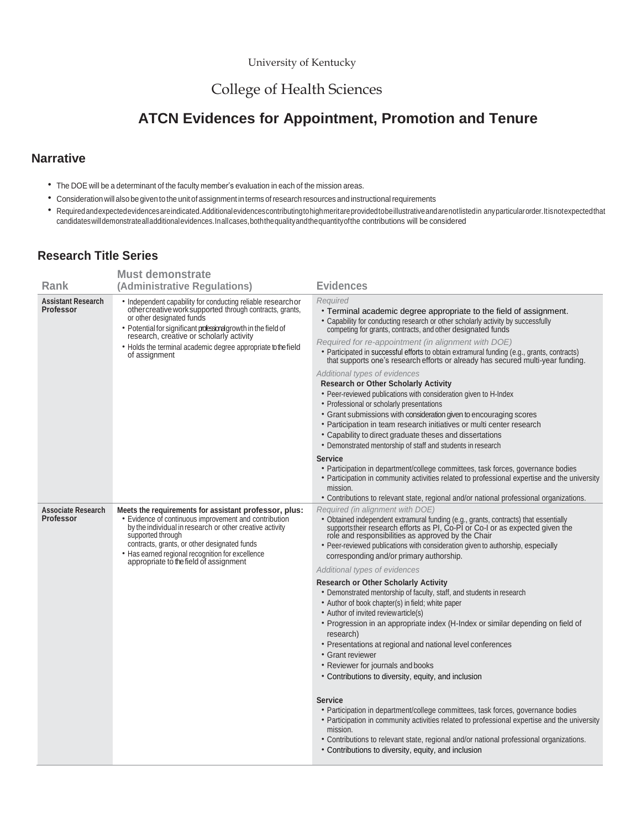## College of Health Sciences

## **ATCN Evidences for Appointment, Promotion and Tenure**

## **Narrative**

- The DOE will be a determinant of the faculty member's evaluation in each of the mission areas.
- Consideration will also be given to the unitofassignment in terms ofresearch resources and instructionalrequirements
- Requiredandexpectedevidencesareindicated.Additionalevidencescontributingtohighmeritareprovidedtobeillustrativeandarenotlistedin anyparticularorder.Itisnotexpectedthat candidateswilldemonstratealladditionalevidences.Inallcases,boththequalityandthequantityofthe contributions will be considered

## **Research Title Series**

|                                               | <b>Must demonstrate</b>                                                                                                                                                                                                                                                                                                                            |                                                                                                                                                                                                                                                                                                                                                                                                                                                                                                                                                                                                                                                                                                                                                                                                                                                                                                                                                                                                                                                                                                                                                                                                                                                                                                      |
|-----------------------------------------------|----------------------------------------------------------------------------------------------------------------------------------------------------------------------------------------------------------------------------------------------------------------------------------------------------------------------------------------------------|------------------------------------------------------------------------------------------------------------------------------------------------------------------------------------------------------------------------------------------------------------------------------------------------------------------------------------------------------------------------------------------------------------------------------------------------------------------------------------------------------------------------------------------------------------------------------------------------------------------------------------------------------------------------------------------------------------------------------------------------------------------------------------------------------------------------------------------------------------------------------------------------------------------------------------------------------------------------------------------------------------------------------------------------------------------------------------------------------------------------------------------------------------------------------------------------------------------------------------------------------------------------------------------------------|
| Rank                                          | (Administrative Regulations)                                                                                                                                                                                                                                                                                                                       | <b>Evidences</b>                                                                                                                                                                                                                                                                                                                                                                                                                                                                                                                                                                                                                                                                                                                                                                                                                                                                                                                                                                                                                                                                                                                                                                                                                                                                                     |
| <b>Assistant Research</b><br><b>Professor</b> | • Independent capability for conducting reliable research or<br>othercreative work supported through contracts, grants,<br>or other designated funds<br>• Potential for significant professional growth in the field of research, creative or scholarly activity<br>• Holds the terminal academic degree appropriate to the field<br>of assignment | Required<br>• Terminal academic degree appropriate to the field of assignment.<br>• Capability for conducting research or other scholarly activity by successfully<br>competing for grants, contracts, and other designated funds<br>Required for re-appointment (in alignment with DOE)<br>• Participated in successful efforts to obtain extramural funding (e.g., grants, contracts)<br>that supports one's research efforts or already has secured multi-year funding.<br>Additional types of evidences<br><b>Research or Other Scholarly Activity</b><br>• Peer-reviewed publications with consideration given to H-Index<br>• Professional or scholarly presentations<br>• Grant submissions with consideration given to encouraging scores<br>• Participation in team research initiatives or multi center research<br>• Capability to direct graduate theses and dissertations<br>• Demonstrated mentorship of staff and students in research<br><b>Service</b>                                                                                                                                                                                                                                                                                                                              |
|                                               |                                                                                                                                                                                                                                                                                                                                                    | • Participation in department/college committees, task forces, governance bodies<br>• Participation in community activities related to professional expertise and the university<br>mission.<br>• Contributions to relevant state, regional and/or national professional organizations.                                                                                                                                                                                                                                                                                                                                                                                                                                                                                                                                                                                                                                                                                                                                                                                                                                                                                                                                                                                                              |
| <b>Associate Research</b><br><b>Professor</b> | Meets the requirements for assistant professor, plus:<br>• Evidence of continuous improvement and contribution<br>by the individual in research or other creative activity<br>supported through<br>contracts, grants, or other designated funds<br>• Has earned regional recognition for excellence<br>appropriate to the field of assignment      | Required (in alignment with DOE)<br>• Obtained independent extramural funding (e.g., grants, contracts) that essentially supports their research efforts as PI, Co-PI or Co-I or as expected given the<br>role and responsibilities as approved by the Chair<br>• Peer-reviewed publications with consideration given to authorship, especially<br>corresponding and/or primary authorship.<br>Additional types of evidences<br><b>Research or Other Scholarly Activity</b><br>• Demonstrated mentorship of faculty, staff, and students in research<br>• Author of book chapter(s) in field; white paper<br>• Author of invited review article(s)<br>• Progression in an appropriate index (H-Index or similar depending on field of<br>research)<br>• Presentations at regional and national level conferences<br>• Grant reviewer<br>• Reviewer for journals and books<br>• Contributions to diversity, equity, and inclusion<br><b>Service</b><br>• Participation in department/college committees, task forces, governance bodies<br>• Participation in community activities related to professional expertise and the university<br>mission.<br>• Contributions to relevant state, regional and/or national professional organizations.<br>• Contributions to diversity, equity, and inclusion |